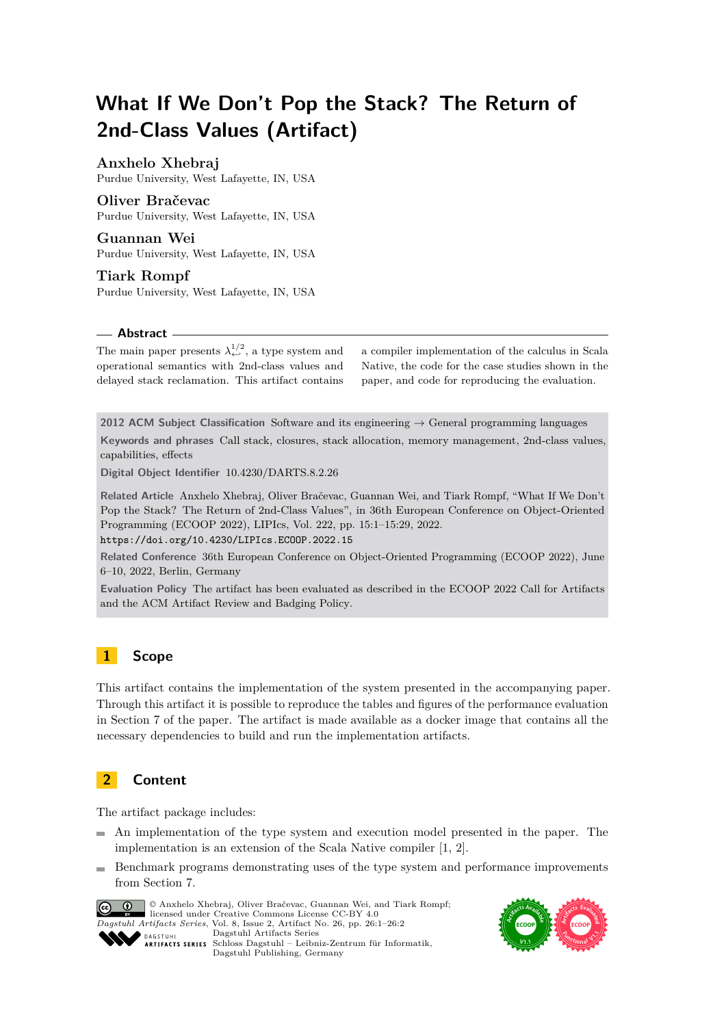# **What If We Don't Pop the Stack? The Return of 2nd-Class Values (Artifact)**

# **Anxhelo Xhebraj**

Purdue University, West Lafayette, IN, USA

#### **Oliver Bračevac**

Purdue University, West Lafayette, IN, USA

**Guannan Wei** Purdue University, West Lafayette, IN, USA

**Tiark Rompf** Purdue University, West Lafayette, IN, USA

#### **Abstract**

The main paper presents  $\lambda_{\leftarrow}^{1/2}$ , a type system and operational semantics with 2nd-class values and delayed stack reclamation. This artifact contains

a compiler implementation of the calculus in Scala Native, the code for the case studies shown in the paper, and code for reproducing the evaluation.

**2012 ACM Subject Classification** Software and its engineering → General programming languages **Keywords and phrases** Call stack, closures, stack allocation, memory management, 2nd-class values, capabilities, effects

**Digital Object Identifier** [10.4230/DARTS.8.2.26](https://doi.org/10.4230/DARTS.8.2.26)

**Related Article** Anxhelo Xhebraj, Oliver Bračevac, Guannan Wei, and Tiark Rompf, "What If We Don't Pop the Stack? The Return of 2nd-Class Values", in 36th European Conference on Object-Oriented Programming (ECOOP 2022), LIPIcs, Vol. 222, pp. 15:1–15:29, 2022.

<https://doi.org/10.4230/LIPIcs.ECOOP.2022.15>

**Related Conference** 36th European Conference on Object-Oriented Programming (ECOOP 2022), June 6–10, 2022, Berlin, Germany

**Evaluation Policy** The artifact has been evaluated as described in the [ECOOP 2022 Call for Artifacts](https://doi.org/10.5281/zenodo.6553744) and the [ACM Artifact Review and Badging Policy.](https://www.acm.org/publications/policies/artifact-review-and-badging-current)

# **1 Scope**

This artifact contains the implementation of the system presented in the accompanying paper. Through this artifact it is possible to reproduce the tables and figures of the performance evaluation in Section 7 of the paper. The artifact is made available as a docker image that contains all the necessary dependencies to build and run the implementation artifacts.

# **2 Content**

The artifact package includes:

- An implementation of the type system and execution model presented in the paper. The implementation is an extension of the Scala Native compiler [\[1,](#page-1-0) [2\]](#page-1-1).
- Benchmark programs demonstrating uses of the type system and performance improvements from Section 7.



© Anxhelo Xhebraj, Oliver Bračevac, Guannan Wei, and Tiark Rompf; licensed under Creative Commons License CC-BY 4.0 *Dagstuhl Artifacts Series*, Vol. 8, Issue 2, Artifact No. 26, pp. 26:1–26:2 [Dagstuhl Artifacts Series](https://www.dagstuhl.de/darts)



SCHOSS DAGSTUHL – Dagstuhl Artifacts Series<br> **Schloss Dagstuhl – Leibniz-Zentrum für Informatik**, Dagstuhl Publishing, Germany